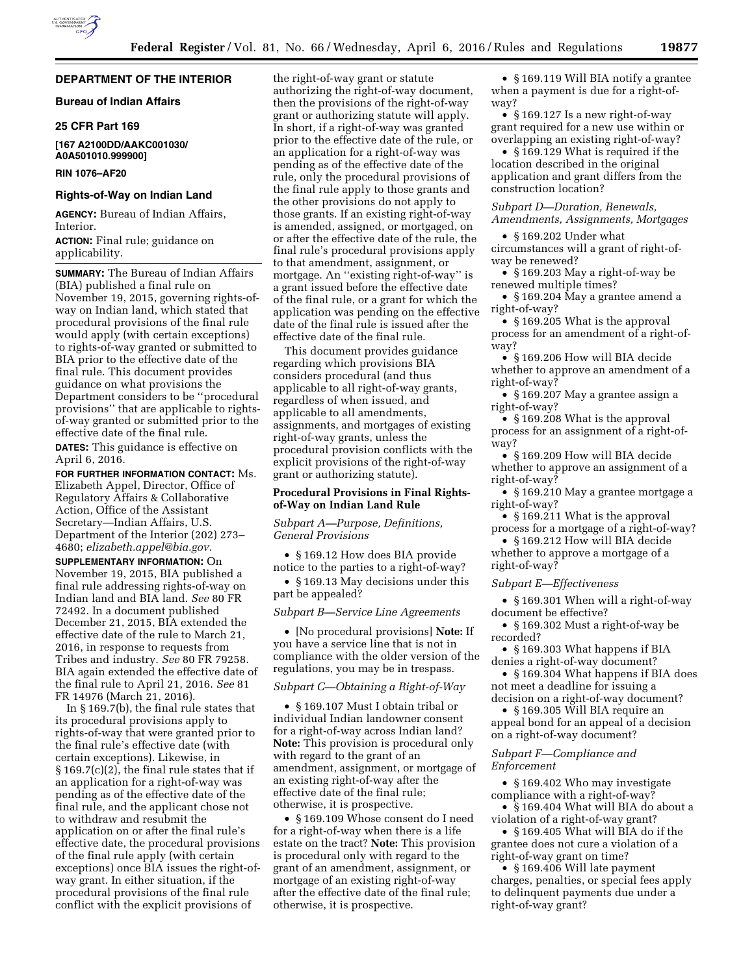# **DEPARTMENT OF THE INTERIOR**

# **Bureau of Indian Affairs**

### **25 CFR Part 169**

**[167 A2100DD/AAKC001030/ A0A501010.999900]** 

### **RIN 1076–AF20**

## **Rights-of-Way on Indian Land**

**AGENCY:** Bureau of Indian Affairs, Interior.

**ACTION:** Final rule; guidance on applicability.

**SUMMARY:** The Bureau of Indian Affairs (BIA) published a final rule on November 19, 2015, governing rights-ofway on Indian land, which stated that procedural provisions of the final rule would apply (with certain exceptions) to rights-of-way granted or submitted to BIA prior to the effective date of the final rule. This document provides guidance on what provisions the Department considers to be ''procedural provisions'' that are applicable to rightsof-way granted or submitted prior to the effective date of the final rule. **DATES:** This guidance is effective on April 6, 2016.

**FOR FURTHER INFORMATION CONTACT:** Ms. Elizabeth Appel, Director, Office of Regulatory Affairs & Collaborative Action, Office of the Assistant Secretary—Indian Affairs, U.S. Department of the Interior (202) 273– 4680; *[elizabeth.appel@bia.gov.](mailto:elizabeth.appel@bia.gov)* 

**SUPPLEMENTARY INFORMATION:** On November 19, 2015, BIA published a final rule addressing rights-of-way on Indian land and BIA land. *See* 80 FR 72492. In a document published December 21, 2015, BIA extended the effective date of the rule to March 21, 2016, in response to requests from Tribes and industry. *See* 80 FR 79258. BIA again extended the effective date of the final rule to April 21, 2016. *See* 81 FR 14976 (March 21, 2016).

In § 169.7(b), the final rule states that its procedural provisions apply to rights-of-way that were granted prior to the final rule's effective date (with certain exceptions). Likewise, in § 169.7(c)(2), the final rule states that if an application for a right-of-way was pending as of the effective date of the final rule, and the applicant chose not to withdraw and resubmit the application on or after the final rule's effective date, the procedural provisions of the final rule apply (with certain exceptions) once BIA issues the right-ofway grant. In either situation, if the procedural provisions of the final rule conflict with the explicit provisions of

the right-of-way grant or statute authorizing the right-of-way document, then the provisions of the right-of-way grant or authorizing statute will apply. In short, if a right-of-way was granted prior to the effective date of the rule, or an application for a right-of-way was pending as of the effective date of the rule, only the procedural provisions of the final rule apply to those grants and the other provisions do not apply to those grants. If an existing right-of-way is amended, assigned, or mortgaged, on or after the effective date of the rule, the final rule's procedural provisions apply to that amendment, assignment, or mortgage. An ''existing right-of-way'' is a grant issued before the effective date of the final rule, or a grant for which the application was pending on the effective date of the final rule is issued after the effective date of the final rule.

This document provides guidance regarding which provisions BIA considers procedural (and thus applicable to all right-of-way grants, regardless of when issued, and applicable to all amendments, assignments, and mortgages of existing right-of-way grants, unless the procedural provision conflicts with the explicit provisions of the right-of-way grant or authorizing statute).

## **Procedural Provisions in Final Rightsof-Way on Indian Land Rule**

# *Subpart A—Purpose, Definitions, General Provisions*

• §169.12 How does BIA provide notice to the parties to a right-of-way?

• § 169.13 May decisions under this part be appealed?

#### *Subpart B—Service Line Agreements*

• [No procedural provisions] **Note:** If you have a service line that is not in compliance with the older version of the regulations, you may be in trespass.

### *Subpart C—Obtaining a Right-of-Way*

• §169.107 Must I obtain tribal or individual Indian landowner consent for a right-of-way across Indian land? **Note:** This provision is procedural only with regard to the grant of an amendment, assignment, or mortgage of an existing right-of-way after the effective date of the final rule; otherwise, it is prospective.

• § 169.109 Whose consent do I need for a right-of-way when there is a life estate on the tract? **Note:** This provision is procedural only with regard to the grant of an amendment, assignment, or mortgage of an existing right-of-way after the effective date of the final rule; otherwise, it is prospective.

• § 169.119 Will BIA notify a grantee when a payment is due for a right-ofway?

• § 169.127 Is a new right-of-way grant required for a new use within or overlapping an existing right-of-way?

• §169.129 What is required if the location described in the original application and grant differs from the construction location?

*Subpart D—Duration, Renewals, Amendments, Assignments, Mortgages* 

• § 169.202 Under what circumstances will a grant of right-ofway be renewed?

• § 169.203 May a right-of-way be renewed multiple times?

• § 169.204 May a grantee amend a right-of-way?

• §169.205 What is the approval process for an amendment of a right-ofway?

• § 169.206 How will BIA decide whether to approve an amendment of a right-of-way?

• § 169.207 May a grantee assign a right-of-way?

• § 169.208 What is the approval process for an assignment of a right-ofway?

• § 169.209 How will BIA decide whether to approve an assignment of a right-of-way?

• § 169.210 May a grantee mortgage a right-of-way?

• §169.211 What is the approval process for a mortgage of a right-of-way?

• §169.212 How will BIA decide whether to approve a mortgage of a right-of-way?

*Subpart E—Effectiveness* 

• § 169.301 When will a right-of-way document be effective?

• § 169.302 Must a right-of-way be recorded?

• § 169.303 What happens if BIA denies a right-of-way document?

• § 169.304 What happens if BIA does not meet a deadline for issuing a decision on a right-of-way document?

• § 169.305 Will BIA require an

appeal bond for an appeal of a decision on a right-of-way document?

# *Subpart F—Compliance and Enforcement*

• § 169.402 Who may investigate compliance with a right-of-way?

• § 169.404 What will BIA do about a violation of a right-of-way grant?

• § 169.405 What will BIA do if the grantee does not cure a violation of a right-of-way grant on time?

• § 169.406 Will late payment charges, penalties, or special fees apply to delinquent payments due under a right-of-way grant?